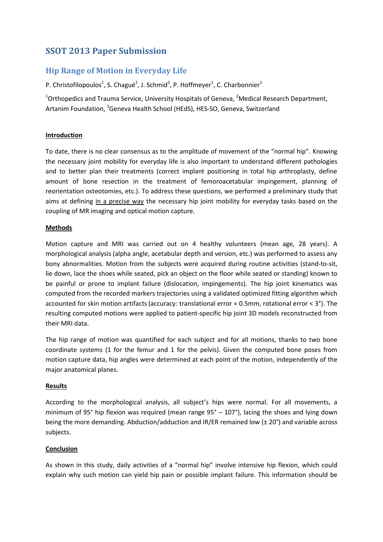# **SSOT 2013 Paper Submission**

## **Hip Range of Motion in Everyday Life**

P. Christofilopoulos<sup>1</sup>, S. Chagué<sup>2</sup>, J. Schmid<sup>3</sup>, P. Hoffmeyer<sup>1</sup>, C. Charbonnier<sup>2</sup>

<sup>1</sup>Orthopedics and Trauma Service, University Hospitals of Geneva, <sup>2</sup>Medical Research Department, Artanim Foundation, <sup>3</sup>Geneva Health School (HEdS), HES-SO, Geneva, Switzerland

#### **Introduction**

To date, there is no clear consensus as to the amplitude of movement of the "normal hip". Knowing the necessary joint mobility for everyday life is also important to understand different pathologies and to better plan their treatments (correct implant positioning in total hip arthroplasty, define amount of bone resection in the treatment of femoroacetabular impingement, planning of reorientation osteotomies, etc.). To address these questions, we performed a preliminary study that aims at defining in a precise way the necessary hip joint mobility for everyday tasks based on the coupling of MR imaging and optical motion capture.

#### **Methods**

Motion capture and MRI was carried out on 4 healthy volunteers (mean age, 28 years). A morphological analysis (alpha angle, acetabular depth and version, etc.) was performed to assess any bony abnormalities. Motion from the subjects were acquired during routine activities (stand-to-sit, lie down, lace the shoes while seated, pick an object on the floor while seated or standing) known to be painful or prone to implant failure (dislocation, impingements). The hip joint kinematics was computed from the recorded markers trajectories using a validated optimized fitting algorithm which accounted for skin motion artifacts (accuracy: translational error  $\approx$  0.5mm, rotational error  $\lt$  3°). The resulting computed motions were applied to patient-specific hip joint 3D models reconstructed from their MRI data.

The hip range of motion was quantified for each subject and for all motions, thanks to two bone coordinate systems (1 for the femur and 1 for the pelvis). Given the computed bone poses from motion capture data, hip angles were determined at each point of the motion, independently of the major anatomical planes.

#### **Results**

According to the morphological analysis, all subject's hips were normal. For all movements, a minimum of 95° hip flexion was required (mean range  $95^{\circ} - 107^{\circ}$ ), lacing the shoes and lying down being the more demanding. Abduction/adduction and IR/ER remained low (± 20°) and variable across subjects.

### **Conclusion**

As shown in this study, daily activities of a "normal hip" involve intensive hip flexion, which could explain why such motion can yield hip pain or possible implant failure. This information should be